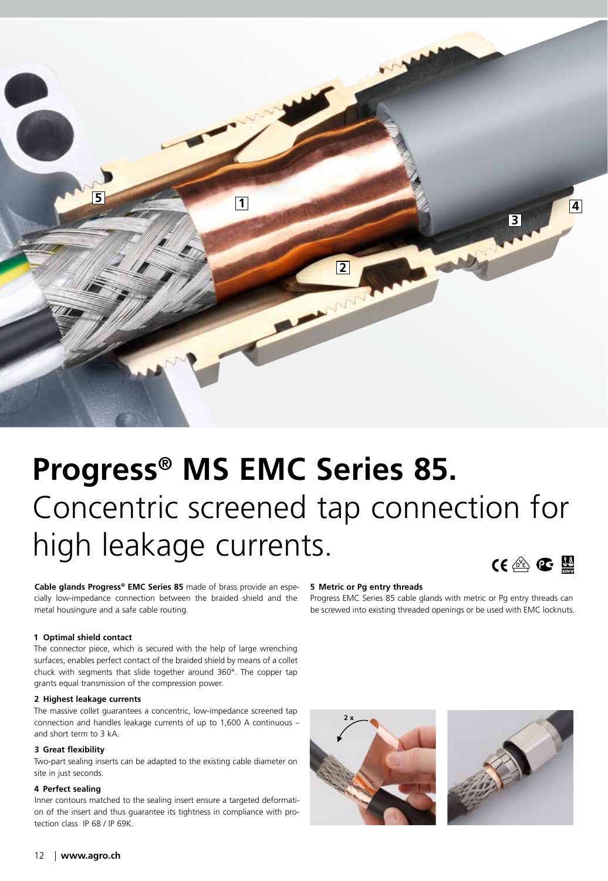

# **Progress® MS EMC Series 85.** Concentric screened tap connection for high leakage currents.  $CE \otimes C$

**Cable glands Progress® EMC Series 85** made of brass provide an especially low-impedance connection between the braided shield and the metal housingure and a safe cable routing.

#### **1 Optimal shield contact**

The connector piece, which is secured with the help of large wrenching surfaces, enables perfect contact of the braided shield by means of a collet chuck with segments that slide together around 360°. The copper tap grants equal transmission of the compression power.

#### **2 Highest leakage currents**

The massive collet guarantees a concentric, low-impedance screened tap connection and handles leakage currents of up to 1,600 A continuous – and short term to 3 kA.

### **3 Great flexibility**

Two-part sealing inserts can be adapted to the existing cable diameter on site in just seconds.

## **4 Perfect sealing**

Inner contours matched to the sealing insert ensure a targeted deformation of the insert and thus guarantee its tightness in compliance with protection class IP 68 / IP 69K.

#### **5 Metric or Pg entry threads**

Progress EMC Series 85 cable glands with metric or Pg entry threads can be screwed into existing threaded openings or be used with EMC locknuts.